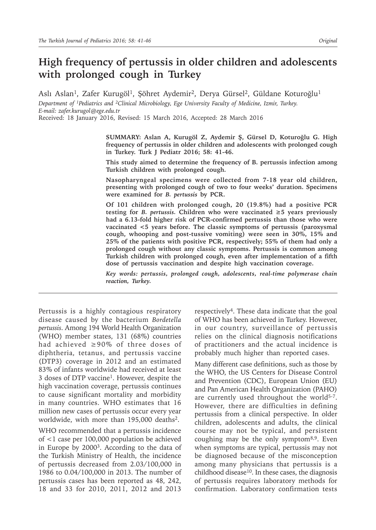# **High frequency of pertussis in older children and adolescents with prolonged cough in Turkey**

Aslı Aslan<sup>1</sup>, Zafer Kurugöl<sup>1</sup>, Şöhret Aydemir<sup>2</sup>, Derya Gürsel<sup>2</sup>, Güldane Koturoğlu<sup>1</sup>

*Department of 1Pediatrics and 2Clinical Microbiology, Ege University Faculty of Medicine, Izmir, Turkey. E-mail: zafer.kurugol@ege.edu.tr*

Received: 18 January 2016, Revised: 15 March 2016, Accepted: 28 March 2016

**SUMMARY: Aslan A, Kurugöl Z, Aydemir Ş, Gürsel D, Koturoğlu G. High frequency of pertussis in older children and adolescents with prolonged cough in Turkey. Turk J Pediatr 2016; 58: 41-46.**

**This study aimed to determine the frequency of B. pertussis infection among Turkish children with prolonged cough.**

**Nasopharyngeal specimens were collected from 7-18 year old children, presenting with prolonged cough of two to four weeks' duration. Specimens were examined for** *B. pertussis* **by PCR.**

**Of 101 children with prolonged cough, 20 (19.8%) had a positive PCR**  testing for *B. pertussis.* Children who were vaccinated  $\geq$  5 years previously **had a 6.13-fold higher risk of PCR-confirmed pertussis than those who were vaccinated <5 years before. The classic symptoms of pertussis (paroxysmal cough, whooping and post-tussive vomiting) were seen in 30%, 15% and 25% of the patients with positive PCR, respectively; 55% of them had only a prolonged cough without any classic symptoms. Pertussis is common among Turkish children with prolonged cough, even after implementation of a fifth dose of pertussis vaccination and despite high vaccination coverage.** 

*Key words: pertussis, prolonged cough, adolescents, real-time polymerase chain reaction, Turkey.*

Pertussis is a highly contagious respiratory disease caused by the bacterium *Bordetella pertussis*. Among 194 World Health Organization (WHO) member states, 131 (68%) countries had achieved ≥90% of three doses of diphtheria, tetanus, and pertussis vaccine (DTP3) coverage in 2012 and an estimated 83% of infants worldwide had received at least 3 doses of DTP vaccine<sup>1</sup>. However, despite the high vaccination coverage, pertussis continues to cause significant mortality and morbidity in many countries. WHO estimates that 16 million new cases of pertussis occur every year worldwide, with more than 195,000 deaths2.

WHO recommended that a pertussis incidence of <1 case per 100,000 population be achieved in Europe by 2000<sup>3</sup>. According to the data of the Turkish Ministry of Health, the incidence of pertussis decreased from 2.03/100,000 in 1986 to 0.04/100,000 in 2013. The number of pertussis cases has been reported as 48, 242, 18 and 33 for 2010, 2011, 2012 and 2013

respectively<sup>4</sup>. These data indicate that the goal of WHO has been achieved in Turkey. However, in our country, surveillance of pertussis relies on the clinical diagnosis notifications of practitioners and the actual incidence is probably much higher than reported cases.

Many different case definitions, such as those by the WHO, the US Centers for Disease Control and Prevention (CDC), European Union (EU) and Pan American Health Organization (PAHO) are currently used throughout the world<sup>5-7</sup>. However, there are difficulties in defining pertussis from a clinical perspective. In older children, adolescents and adults, the clinical course may not be typical, and persistent coughing may be the only symptom<sup>8,9</sup>. Even when symptoms are typical, pertussis may not be diagnosed because of the misconception among many physicians that pertussis is a childhood disease<sup>10</sup>. In these cases, the diagnosis of pertussis requires laboratory methods for confirmation. Laboratory confirmation tests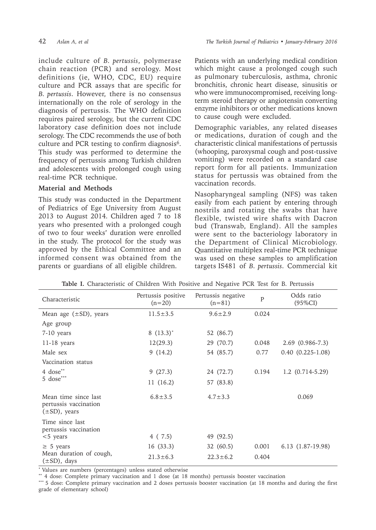include culture of *B. pertussis*, polymerase chain reaction (PCR) and serology. Most definitions (ie, WHO, CDC, EU) require culture and PCR assays that are specific for *B. pertussis*. However, there is no consensus internationally on the role of serology in the diagnosis of pertussis. The WHO definition requires paired serology, but the current CDC laboratory case definition does not include serology. The CDC recommends the use of both culture and PCR testing to confirm diagnosis $6$ . This study was performed to determine the frequency of pertussis among Turkish children and adolescents with prolonged cough using real-time PCR technique.

## **Material and Methods**

This study was conducted in the Department of Pediatrics of Ege University from August 2013 to August 2014. Children aged 7 to 18 years who presented with a prolonged cough of two to four weeks' duration were enrolled in the study. The protocol for the study was approved by the Ethical Committee and an informed consent was obtained from the parents or guardians of all eligible children.

Patients with an underlying medical condition which might cause a prolonged cough such as pulmonary tuberculosis, asthma, chronic bronchitis, chronic heart disease, sinusitis or who were immunocompromised, receiving longterm steroid therapy or angiotensin converting enzyme inhibitors or other medications known to cause cough were excluded.

Demographic variables, any related diseases or medications, duration of cough and the characteristic clinical manifestations of pertussis (whooping, paroxysmal cough and post-tussive vomiting) were recorded on a standard case report form for all patients. Immunization status for pertussis was obtained from the vaccination records.

Nasopharyngeal sampling (NFS) was taken easily from each patient by entering through nostrils and rotating the swabs that have flexible, twisted wire shafts with Dacron bud (Transwab, England). All the samples were sent to the bacteriology laboratory in the Department of Clinical Microbiology. Quantitative multiplex real-time PCR technique was used on these samples to amplification targets IS481 of *B. pertussis*. Commercial kit

| Characteristic                                                      | Pertussis positive<br>$(n=20)$ | Pertussis negative<br>$(n=81)$ |       | Odds ratio<br>$(95\%CI)$ |
|---------------------------------------------------------------------|--------------------------------|--------------------------------|-------|--------------------------|
| Mean age $(\pm SD)$ , years                                         | $11.5 \pm 3.5$                 | $9.6 \pm 2.9$                  | 0.024 |                          |
| Age group                                                           |                                |                                |       |                          |
| 7-10 years                                                          | 8 $(13.3)^*$                   | 52 (86.7)                      |       |                          |
| $11-18$ years                                                       | 12(29.3)                       | 29 (70.7)                      | 0.048 | $2.69(0.986-7.3)$        |
| Male sex                                                            | 9(14.2)                        | 54 (85.7)                      | 0.77  | $0.40(0.225-1.08)$       |
| Vaccination status                                                  |                                |                                |       |                          |
| 4 dose**<br>5 dose***                                               | 9(27.3)                        | 24 (72.7)                      | 0.194 | $1.2$ (0.714-5.29)       |
|                                                                     | 11(16.2)                       | 57 (83.8)                      |       |                          |
| Mean time since last<br>pertussis vaccination<br>$(\pm SD)$ , years | $6.8 \pm 3.5$                  | $4.7 \pm 3.3$                  |       | 0.069                    |
| Time since last<br>pertussis vaccination<br>$<$ 5 years             | 4 (7.5)                        | 49 (92.5)                      |       |                          |
| $\geq$ 5 years<br>Mean duration of cough,<br>$(\pm SD)$ , days      | 16(33.3)                       | 32 (60.5)                      | 0.001 | 6.13 (1.87-19.98)        |
|                                                                     | $21.3 \pm 6.3$                 | $22.3 \pm 6.2$                 | 0.404 |                          |

**Table I.** Characteristic of Children With Positive and Negative PCR Test for B. Pertussis

\* Values are numbers (percentages) unless stated otherwise

\*\* 4 dose: Complete primary vaccination and 1 dose (at 18 months) pertussis booster vaccination

\*\*\* 5 dose: Complete primary vaccination and 2 doses pertussis booster vaccination (at 18 months and during the first grade of elementary school)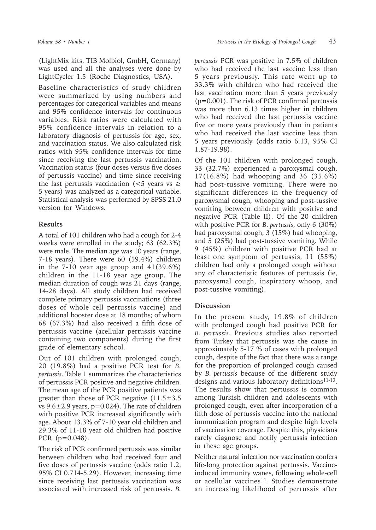(LightMix kits, TIB Molbiol, GmbH, Germany) was used and all the analyses were done by LightCycler 1.5 (Roche Diagnostics, USA).

Baseline characteristics of study children were summarized by using numbers and percentages for categorical variables and means and 95% confidence intervals for continuous variables. Risk ratios were calculated with 95% confidence intervals in relation to a laboratory diagnosis of pertussis for age, sex, and vaccination status. We also calculated risk ratios with 95% confidence intervals for time since receiving the last pertussis vaccination. Vaccination status (four doses versus five doses of pertussis vaccine) and time since receiving the last pertussis vaccination ( $<$ 5 years vs  $\ge$ 5 years) was analyzed as a categorical variable. Statistical analysis was performed by SPSS 21.0 version for Windows.

### **Results**

A total of 101 children who had a cough for 2-4 weeks were enrolled in the study; 63 (62.3%) were male. The median age was 10 years (range, 7-18 years). There were 60 (59.4%) children in the 7-10 year age group and 41(39.6%) children in the 11-18 year age group. The median duration of cough was 21 days (range, 14-28 days). All study children had received complete primary pertussis vaccinations (three doses of whole cell pertussis vaccine) and additional booster dose at 18 months; of whom 68 (67.3%) had also received a fifth dose of pertussis vaccine (acellular pertussis vaccine containing two components) during the first grade of elementary school.

Out of 101 children with prolonged cough, 20 (19.8%) had a positive PCR test for *B. pertussis*. Table 1 summarizes the characteristics of pertussis PCR positive and negative children. The mean age of the PCR positive patients was greater than those of PCR negative  $(11.5\pm3.5$ vs  $9.6 \pm 2.9$  years,  $p=0.024$ ). The rate of children with positive PCR increased significantly with age. About 13.3% of 7-10 year old children and 29.3% of 11-18 year old children had positive PCR (p=0.048).

The risk of PCR confirmed pertussis was similar between children who had received four and five doses of pertussis vaccine (odds ratio 1.2, 95% CI 0.714-5.29). However, increasing time since receiving last pertussis vaccination was associated with increased risk of pertussis. *B.*  *pertussis* PCR was positive in 7.5% of children who had received the last vaccine less than 5 years previously. This rate went up to 33.3% with children who had received the last vaccination more than 5 years previously (p=0.001). The risk of PCR confirmed pertussis was more than 6.13 times higher in children who had received the last pertussis vaccine five or more years previously than in patients who had received the last vaccine less than 5 years previously (odds ratio 6.13, 95% CI 1.87-19.98).

Of the 101 children with prolonged cough, 33 (32.7%) experienced a paroxysmal cough, 17(16.8%) had whooping and 36 (35.6%) had post-tussive vomiting. There were no significant differences in the frequency of paroxysmal cough, whooping and post-tussive vomiting between children with positive and negative PCR (Table II). Of the 20 children with positive PCR for *B. pertussis*, only 6 (30%) had paroxysmal cough, 3 (15%) had whooping, and 5 (25%) had post-tussive vomiting. While 9 (45%) children with positive PCR had at least one symptom of pertussis, 11 (55%) children had only a prolonged cough without any of characteristic features of pertussis (ie, paroxysmal cough, inspiratory whoop, and post-tussive vomiting).

### **Discussion**

In the present study, 19.8% of children with prolonged cough had positive PCR for *B. pertussis*. Previous studies also reported from Turkey that pertussis was the cause in approximately 5-17 % of cases with prolonged cough, despite of the fact that there was a range for the proportion of prolonged cough caused by *B. pertussis* because of the different study designs and various laboratory definitions11-13. The results show that pertussis is common among Turkish children and adolescents with prolonged cough, even after incorporation of a fifth dose of pertussis vaccine into the national immunization program and despite high levels of vaccination coverage. Despite this, physicians rarely diagnose and notify pertussis infection in these age groups.

Neither natural infection nor vaccination confers life-long protection against pertussis. Vaccineinduced immunity wanes, following whole-cell or acellular vaccines<sup>14</sup>. Studies demonstrate an increasing likelihood of pertussis after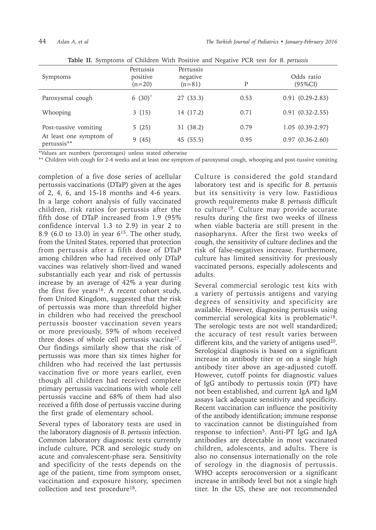| Symptoms                               | Pertussis<br>positive<br>$(n=20)$ | Pertussis<br>negative<br>$(n=81)$ | P    | Odds ratio<br>(95%CI) |
|----------------------------------------|-----------------------------------|-----------------------------------|------|-----------------------|
| Paroxysmal cough                       | 6 $(30)^{*}$                      | 27(33.3)                          | 0.53 | $0.91(0.29-2.83)$     |
| Whooping                               | 3(15)                             | 14 (17.2)                         | 0.71 | $0.91(0.32-2.55)$     |
| Post-tussive vomiting                  | 5(25)                             | 31 (38.2)                         | 0.79 | $1.05(0.39-2.97)$     |
| At least one symptom of<br>pertussis** | 9(45)                             | 45 (55.5)                         | 0.95 | $0.97(0.36-2.60)$     |

**Table II.** Symptoms of Children With Positive and Negative PCR test for *B. pertussis*

\*Values are numbers (percentages) unless stated otherwise

\*\* Children with cough for 2-4 weeks and at least one symptom of paroxysmal cough, whooping and post-tussive vomiting

completion of a five dose series of acellular pertussis vaccinations (DTaP) given at the ages of 2, 4, 6, and 15-18 months and 4-6 years. In a large cohort analysis of fully vaccinated children, risk ratios for pertussis after the fifth dose of DTaP increased from 1.9 (95% confidence interval 1.3 to 2.9) in year 2 to 8.9 (6.0 to 13.0) in year 6<sup>15</sup>. The other study, from the United States, reported that protection from pertussis after a fifth dose of DTaP among children who had received only DTaP vaccines was relatively short-lived and waned substantially each year and risk of pertussis increase by an average of 42% a year during the first five years<sup>16</sup>. A recent cohort study, from United Kingdom, suggested that the risk of pertussis was more than threefold higher in children who had received the preschool pertussis booster vaccination seven years or more previously, 59% of whom received three doses of whole cell pertussis vaccine<sup>17</sup>. Our findings similarly show that the risk of pertussis was more than six times higher for children who had received the last pertussis vaccination five or more years earlier, even though all children had received complete primary pertussis vaccinations with whole cell pertussis vaccine and 68% of them had also received a fifth dose of pertussis vaccine during the first grade of elementary school.

Several types of laboratory tests are used in the laboratory diagnosis of *B. pertussis* infection. Common laboratory diagnostic tests currently include culture, PCR and serologic study on acute and convalescent-phase sera. Sensitivity and specificity of the tests depends on the age of the patient, time from symptom onset, vaccination and exposure history, specimen collection and test procedure<sup>18</sup>.

Culture is considered the gold standard laboratory test and is specific for *B. pertussis* but its sensitivity is very low. Fastidious growth requirements make *B. pertussis* difficult to culture19. Culture may provide accurate results during the first two weeks of illness when viable bacteria are still present in the nasopharynx. After the first two weeks of cough, the sensitivity of culture declines and the risk of false-negatives increase. Furthermore, culture has limited sensitivity for previously vaccinated persons, especially adolescents and adults.

Several commercial serologic test kits with a variety of pertussis antigens and varying degrees of sensitivity and specificity are available. However, diagnosing pertussis using commercial serological kits is problematic<sup>18</sup>. The serologic tests are not well standardized; the accuracy of test result varies between different kits, and the variety of antigens used  $20$ . Serological diagnosis is based on a significant increase in antibody titer or on a single high antibody titer above an age-adjusted cutoff. However, cutoff points for diagnostic values of IgG antibody to pertussis toxin (PT) have not been established, and current IgA and IgM assays lack adequate sensitivity and specificity. Recent vaccination can influence the positivity of the antibody identification; immune response to vaccination cannot be distinguished from response to infection<sup>5</sup>. Anti-PT IgG and IgA antibodies are detectable in most vaccinated children, adolescents, and adults. There is also no consensus internationally on the role of serology in the diagnosis of pertussis. WHO accepts seroconversion or a significant increase in antibody level but not a single high titer. In the US, these are not recommended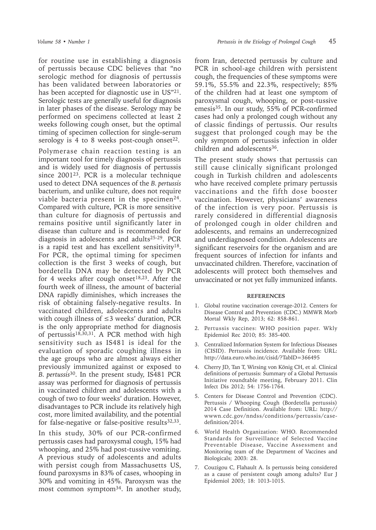for routine use in establishing a diagnosis of pertussis because CDC believes that "no serologic method for diagnosis of pertussis has been validated between laboratories or has been accepted for diagnostic use in US"21. Serologic tests are generally useful for diagnosis in later phases of the disease. Serology may be

performed on specimens collected at least 2 weeks following cough onset, but the optimal timing of specimen collection for single-serum serology is 4 to 8 weeks post-cough onset $^{22}$ . Polymerase chain reaction testing is an

important tool for timely diagnosis of pertussis and is widely used for diagnosis of pertussis since 200123. PCR is a molecular technique used to detect DNA sequences of the *B. pertussis* bacterium, and unlike culture, does not require viable bacteria present in the specimen<sup>24</sup>. Compared with culture, PCR is more sensitive than culture for diagnosis of pertussis and remains positive until significantly later in disease than culture and is recommended for diagnosis in adolescents and adults25-29. PCR is a rapid test and has excellent sensitivity $18$ . For PCR, the optimal timing for specimen collection is the first 3 weeks of cough, but bordetella DNA may be detected by PCR for 4 weeks after cough onset<sup>18,23</sup>. After the fourth week of illness, the amount of bacterial DNA rapidly diminishes, which increases the risk of obtaining falsely-negative results. In vaccinated children, adolescents and adults with cough illness of  $\leq$ 3 weeks' duration, PCR is the only appropriate method for diagnosis of pertussis<sup>18,30,31</sup>. A PCR method with high sensitivity such as IS481 is ideal for the evaluation of sporadic coughing illness in the age groups who are almost always either previously immunized against or exposed to *B. pertussis*30. In the present study, IS481 PCR assay was performed for diagnosis of pertussis in vaccinated children and adolescents with a cough of two to four weeks' duration. However, disadvantages to PCR include its relatively high cost, more limited availability, and the potential for false-negative or false-positive results $32,33$ .

In this study, 30% of our PCR-confirmed pertussis cases had paroxysmal cough, 15% had whooping, and 25% had post-tussive vomiting. A previous study of adolescents and adults with persist cough from Massachusetts US, found paroxysms in 83% of cases, whooping in 30% and vomiting in 45%. Paroxysm was the most common symptom<sup>34</sup>. In another study,

from Iran, detected pertussis by culture and PCR in school-age children with persistent cough, the frequencies of these symptoms were 59.1%, 55.5% and 22.3%, respectively; 85% of the children had at least one symptom of paroxysmal cough, whooping, or post-tussive emesis<sup>35</sup>. In our study, 55% of PCR-confirmed cases had only a prolonged cough without any of classic findings of pertussis. Our results suggest that prolonged cough may be the only symptom of pertussis infection in older children and adolescents<sup>36</sup>.

The present study shows that pertussis can still cause clinically significant prolonged cough in Turkish children and adolescents who have received complete primary pertussis vaccinations and the fifth dose booster vaccination. However, physicians' awareness of the infection is very poor. Pertussis is rarely considered in differential diagnosis of prolonged cough in older children and adolescents, and remains an underrecognized and underdiagnosed condition. Adolescents are significant reservoirs for the organism and are frequent sources of infection for infants and unvaccinated children. Therefore, vaccination of adolescents will protect both themselves and unvaccinated or not yet fully immunized infants.

#### **REFERENCES**

- 1. Global routine vaccination coverage-2012. Centers for Disease Control and Prevention (CDC.) MMWR Morb Mortal Wkly Rep, 2013; 62: 858-861.
- 2. Pertussis vaccines: WHO position paper. Wkly Epidemiol Rec 2010; 85: 385-400.
- 3. Centralized Information System for Infectious Diseases (CISID). Pertussis incidence. Available from: URL: http://data.euro.who.int/cisid/?TabID=366495
- 4. Cherry JD, Tan T, Wirsing von König CH, et al. Clinical definitions of pertussis: Summary of a Global Pertussis Initiative roundtable meeting, February 2011. Clin Infect Dis 2012; 54: 1756-1764.
- 5. Centers for Disease Control and Prevention (CDC). Pertussis / Whooping Cough (Bordetella pertussis) 2014 Case Definition. Available from: URL: http:// wwwn.cdc.gov/nndss/conditions/pertussis/casedefinition/2014.
- 6. World Health Organization: WHO. Recommended Standards for Surveillance of Selected Vaccine Preventable Disease, Vaccine Assessment and Monitoring team of the Department of Vaccines and Biologicals; 2003: 28.
- 7. Couzigou C, Flahault A. Is pertussis being considered as a cause of persistent cough among adults? Eur J Epidemiol 2003; 18: 1013-1015.